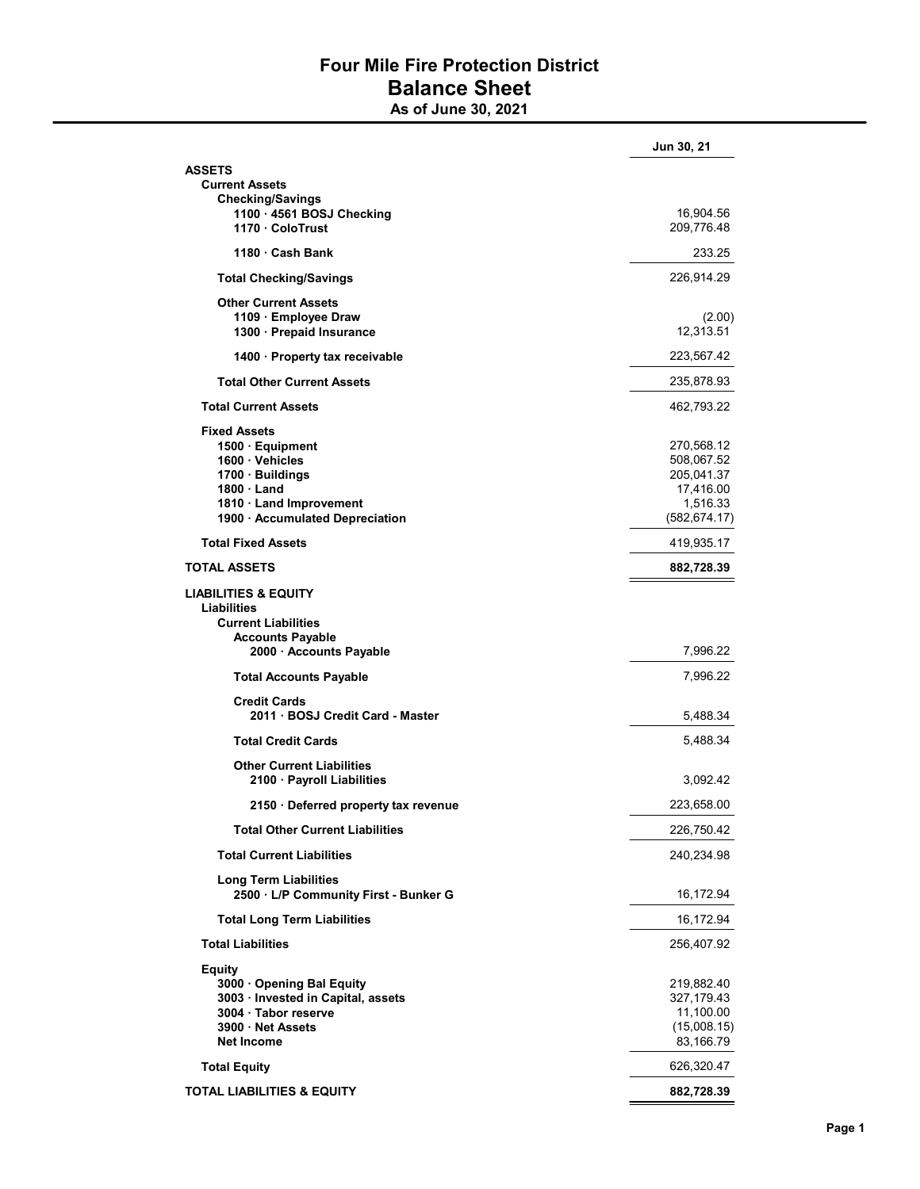## Four Mile Fire Protection District Balance Sheet

As of June 30, 2021

|                                                          | Jun 30, 21                |
|----------------------------------------------------------|---------------------------|
| <b>ASSETS</b>                                            |                           |
| <b>Current Assets</b>                                    |                           |
| <b>Checking/Savings</b>                                  |                           |
| 1100 · 4561 BOSJ Checking                                | 16,904.56                 |
| 1170 ColoTrust                                           | 209,776.48                |
| 1180 Cash Bank                                           | 233.25                    |
| <b>Total Checking/Savings</b>                            | 226,914.29                |
| <b>Other Current Assets</b>                              |                           |
| 1109 Employee Draw                                       | (2.00)                    |
| 1300 · Prepaid Insurance                                 | 12,313.51                 |
| 1400 · Property tax receivable                           | 223,567.42                |
| <b>Total Other Current Assets</b>                        | 235,878.93                |
| <b>Total Current Assets</b>                              | 462,793.22                |
| <b>Fixed Assets</b>                                      |                           |
| 1500 · Equipment                                         | 270,568.12                |
| 1600 · Vehicles                                          | 508,067.52                |
| 1700 · Buildings                                         | 205,041.37                |
|                                                          |                           |
| $1800 \cdot$ Land                                        | 17,416.00                 |
| 1810 Land Improvement<br>1900 · Accumulated Depreciation | 1,516.33<br>(582, 674.17) |
| <b>Total Fixed Assets</b>                                | 419,935.17                |
| <b>TOTAL ASSETS</b>                                      | 882,728.39                |
|                                                          |                           |
| <b>LIABILITIES &amp; EQUITY</b>                          |                           |
| Liabilities                                              |                           |
| <b>Current Liabilities</b>                               |                           |
| <b>Accounts Payable</b>                                  |                           |
| 2000 · Accounts Payable                                  | 7,996.22                  |
| <b>Total Accounts Payable</b>                            | 7,996.22                  |
| <b>Credit Cards</b>                                      |                           |
| 2011 BOSJ Credit Card - Master                           | 5,488.34                  |
| <b>Total Credit Cards</b>                                | 5,488.34                  |
|                                                          |                           |
| <b>Other Current Liabilities</b>                         |                           |
| 2100 · Payroll Liabilities                               | 3,092.42                  |
| 2150 Deferred property tax revenue                       | 223,658.00                |
| <b>Total Other Current Liabilities</b>                   | 226,750.42                |
| <b>Total Current Liabilities</b>                         | 240,234.98                |
| <b>Long Term Liabilities</b>                             |                           |
| 2500 · L/P Community First - Bunker G                    | 16,172.94                 |
| <b>Total Long Term Liabilities</b>                       | 16,172.94                 |
| <b>Total Liabilities</b>                                 | 256,407.92                |
| <b>Equity</b>                                            |                           |
| 3000 Opening Bal Equity                                  | 219,882.40                |
| 3003 · Invested in Capital, assets                       | 327,179.43                |
| 3004 · Tabor reserve                                     | 11,100.00                 |
| 3900 Net Assets                                          | (15,008.15)               |
| <b>Net Income</b>                                        | 83,166.79                 |
|                                                          |                           |
| <b>Total Equity</b>                                      | 626,320.47                |
| TOTAL LIABILITIES & EQUITY                               | 882,728.39                |